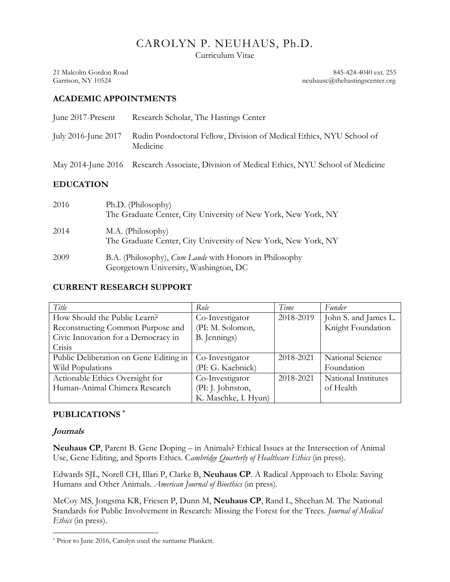# CAROLYN P. NEUHAUS, Ph.D.

Curriculum Vitae

21 Malcolm Gordon Road 845-424-4040 ext. 255 Garrison, NY 10524 neuhausc@thehastingscenter.org

#### **ACADEMIC APPOINTMENTS**

| June 2017-Present   | Research Scholar, The Hastings Center                                                     |
|---------------------|-------------------------------------------------------------------------------------------|
| July 2016-June 2017 | Rudin Postdoctoral Fellow, Division of Medical Ethics, NYU School of<br>Medicine          |
|                     | May 2014-June 2016 Research Associate, Division of Medical Ethics, NYU School of Medicine |
| <b>EDUCATION</b>    |                                                                                           |

| 2016 | Ph.D. (Philosophy)<br>The Graduate Center, City University of New York, New York, NY                   |
|------|--------------------------------------------------------------------------------------------------------|
| 2014 | M.A. (Philosophy)<br>The Graduate Center, City University of New York, New York, NY                    |
| 2009 | B.A. (Philosophy), <i>Cum Laude</i> with Honors in Philosophy<br>Georgetown University, Washington, DC |

## **CURRENT RESEARCH SUPPORT**

| Title                                  | Role                 | Time      | Funder               |
|----------------------------------------|----------------------|-----------|----------------------|
| How Should the Public Learn?           | Co-Investigator      | 2018-2019 | John S. and James L. |
| Reconstructing Common Purpose and      | (PI: M. Solomon,     |           | Knight Foundation    |
| Civic Innovation for a Democracy in    | B. Jennings)         |           |                      |
| Crisis                                 |                      |           |                      |
| Public Deliberation on Gene Editing in | Co-Investigator      | 2018-2021 | National Science     |
| Wild Populations                       | (PI: G. Kaebnick)    |           | Foundation           |
| Actionable Ethics Oversight for        | Co-Investigator      | 2018-2021 | National Institutes  |
| Human-Animal Chimera Research          | (PI: J. Johnston,    |           | of Health            |
|                                        | K. Maschke, I. Hyun) |           |                      |

# **PUBLICATIONS \***

#### **Journals**

l

**Neuhaus CP**, Parent B. Gene Doping – in Animals? Ethical Issues at the Intersection of Animal Use, Gene Editing, and Sports Ethics. C*ambridge Quarterly of Healthcare Ethics* (in press).

Edwards SJL, Norell CH, Illari P, Clarke B, **Neuhaus CP**. A Radical Approach to Ebola: Saving Humans and Other Animals. *American Journal of Bioethics* (in press).

McCoy MS, Jongsma KR, Friesen P, Dunn M, **Neuhaus CP**, Rand L, Sheehan M. The National Standards for Public Involvement in Research: Missing the Forest for the Trees. *Journal of Medical Ethics* (in press).

<sup>\*</sup> Prior to June 2016, Carolyn used the surname Plunkett.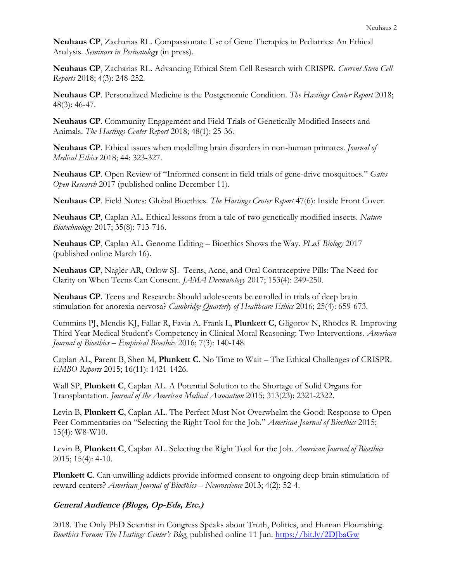**Neuhaus CP**, Zacharias RL. Compassionate Use of Gene Therapies in Pediatrics: An Ethical Analysis. *Seminars in Perinatology* (in press).

**Neuhaus CP**, Zacharias RL. Advancing Ethical Stem Cell Research with CRISPR. *Current Stem Cell Reports* 2018; 4(3): 248-252.

**Neuhaus CP**. Personalized Medicine is the Postgenomic Condition. *The Hastings Center Report* 2018; 48(3): 46-47.

**Neuhaus CP**. Community Engagement and Field Trials of Genetically Modified Insects and Animals. *The Hastings Center Report* 2018; 48(1): 25-36.

**Neuhaus CP**. Ethical issues when modelling brain disorders in non-human primates. *Journal of Medical Ethics* 2018; 44: 323-327.

**Neuhaus CP**. Open Review of "Informed consent in field trials of gene-drive mosquitoes." *Gates Open Research* 2017 (published online December 11).

**Neuhaus CP**. Field Notes: Global Bioethics. *The Hastings Center Report* 47(6): Inside Front Cover.

**Neuhaus CP**, Caplan AL. Ethical lessons from a tale of two genetically modified insects. *Nature Biotechnolog*y 2017; 35(8): 713-716.

**Neuhaus CP**, Caplan AL*.* Genome Editing – Bioethics Shows the Way. *PLoS Biology* 2017 (published online March 16).

**Neuhaus CP**, Nagler AR, Orlow SJ. Teens, Acne, and Oral Contraceptive Pills: The Need for Clarity on When Teens Can Consent. *JAMA Dermatology* 2017; 153(4): 249-250.

**Neuhaus CP**. Teens and Research: Should adolescents be enrolled in trials of deep brain stimulation for anorexia nervosa? *Cambridge Quarterly of Healthcare Ethics* 2016; 25(4): 659-673.

Cummins PJ, Mendis KJ, Fallar R, Favia A, Frank L, **Plunkett C**, Gligorov N, Rhodes R. Improving Third Year Medical Student's Competency in Clinical Moral Reasoning: Two Interventions. *American Journal of Bioethics – Empirical Bioethics* 2016; 7(3): 140-148.

Caplan AL, Parent B, Shen M, **Plunkett C**. No Time to Wait – The Ethical Challenges of CRISPR. *EMBO Reports* 2015; 16(11): 1421-1426.

Wall SP, **Plunkett C**, Caplan AL. A Potential Solution to the Shortage of Solid Organs for Transplantation. *Journal of the American Medical Association* 2015; 313(23): 2321-2322.

Levin B, **Plunkett C**, Caplan AL. The Perfect Must Not Overwhelm the Good: Response to Open Peer Commentaries on "Selecting the Right Tool for the Job." *American Journal of Bioethics* 2015; 15(4): W8-W10.

Levin B, **Plunkett C**, Caplan AL. Selecting the Right Tool for the Job. *American Journal of Bioethics*  2015; 15(4): 4-10.

**Plunkett C**. Can unwilling addicts provide informed consent to ongoing deep brain stimulation of reward centers? *American Journal of Bioethics – Neuroscience* 2013; 4(2): 52-4.

## **General Audience (Blogs, Op-Eds, Etc.)**

2018. The Only PhD Scientist in Congress Speaks about Truth, Politics, and Human Flourishing. *Bioethics Forum: The Hastings Center's Blog*, published online 11 Jun.<https://bit.ly/2DJbaGw>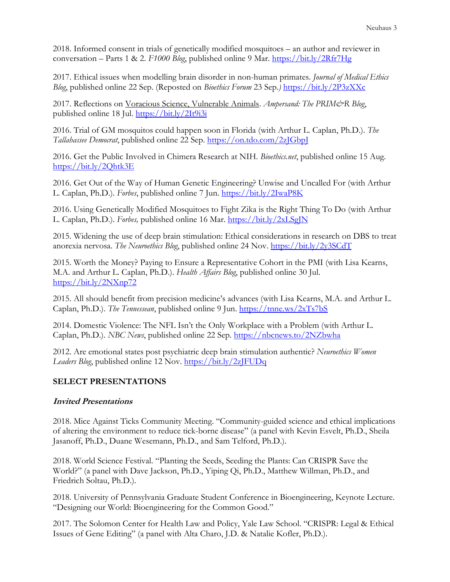2018. Informed consent in trials of genetically modified mosquitoes – an author and reviewer in conversation – Parts 1 & 2. *F1000 Blog*, published online 9 Mar.<https://bit.ly/2Rfr7Hg>

2017. Ethical issues when modelling brain disorder in non-human primates. *Journal of Medical Ethics Blog*, published online 22 Sep. (Reposted on *Bioethics Forum* 23 Sep.*)* <https://bit.ly/2P3zXXc>

2017. Reflections on Voracious Science, Vulnerable Animals. *Ampersand: The PRIM&R Blog*, published online 18 Jul.<https://bit.ly/2It9i3i>

2016. Trial of GM mosquitos could happen soon in Florida (with Arthur L. Caplan, Ph.D.). *The Tallahassee Democrat*, published online 22 Sep.<https://on.tdo.com/2zJGbpJ>

2016. Get the Public Involved in Chimera Research at NIH. *Bioethics.net*, published online 15 Aug. <https://bit.ly/2Qhtk3E>

2016. Get Out of the Way of Human Genetic Engineering? Unwise and Uncalled For (with Arthur L. Caplan, Ph.D.). *Forbes*, published online 7 Jun.<https://bit.ly/2IwaP8K>

2016. Using Genetically Modified Mosquitoes to Fight Zika is the Right Thing To Do (with Arthur L. Caplan, Ph.D.). *Forbes,* published online 16 Mar.<https://bit.ly/2xLSgJN>

2015. Widening the use of deep brain stimulation: Ethical considerations in research on DBS to treat anorexia nervosa. *The Neuroethics Blog*, published online 24 Nov.<https://bit.ly/2y3SCdT>

2015. Worth the Money? Paying to Ensure a Representative Cohort in the PMI (with Lisa Kearns, M.A. and Arthur L. Caplan, Ph.D.). *Health Affairs Blog*, published online 30 Jul. <https://bit.ly/2NXnp72>

2015. All should benefit from precision medicine's advances (with Lisa Kearns, M.A. and Arthur L. Caplan, Ph.D.). *The Tennessean*, published online 9 Jun. <https://tnne.ws/2xTs7bS>

2014. Domestic Violence: The NFL Isn't the Only Workplace with a Problem (with Arthur L. Caplan, Ph.D.). *NBC News*, published online 22 Sep. <https://nbcnews.to/2NZbwha>

2012. Are emotional states post psychiatric deep brain stimulation authentic? *Neuroethics Women Leaders Blog*, published online 12 Nov.<https://bit.ly/2zJFUDq>

## **SELECT PRESENTATIONS**

#### **Invited Presentations**

2018. Mice Against Ticks Community Meeting. "Community-guided science and ethical implications of altering the environment to reduce tick-borne disease" (a panel with Kevin Esvelt, Ph.D., Sheila Jasanoff, Ph.D., Duane Wesemann, Ph.D., and Sam Telford, Ph.D.).

2018. World Science Festival. "Planting the Seeds, Seeding the Plants: Can CRISPR Save the World?" (a panel with Dave Jackson, Ph.D., Yiping Qi, Ph.D., Matthew Willman, Ph.D., and Friedrich Soltau, Ph.D.).

2018. University of Pennsylvania Graduate Student Conference in Bioengineering, Keynote Lecture. "Designing our World: Bioengineering for the Common Good."

2017. The Solomon Center for Health Law and Policy, Yale Law School. "CRISPR: Legal & Ethical Issues of Gene Editing" (a panel with Alta Charo, J.D. & Natalie Kofler, Ph.D.).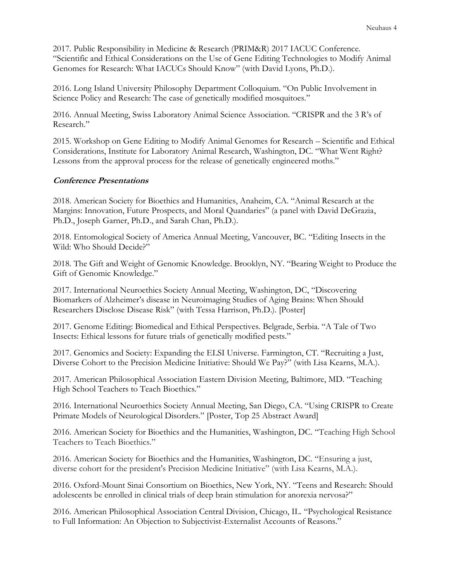2017*.* Public Responsibility in Medicine & Research (PRIM&R) 2017 IACUC Conference. "Scientific and Ethical Considerations on the Use of Gene Editing Technologies to Modify Animal Genomes for Research: What IACUCs Should Know" (with David Lyons, Ph.D.).

2016. Long Island University Philosophy Department Colloquium. "On Public Involvement in Science Policy and Research: The case of genetically modified mosquitoes."

2016. Annual Meeting, Swiss Laboratory Animal Science Association. "CRISPR and the 3 R's of Research."

2015. Workshop on Gene Editing to Modify Animal Genomes for Research – Scientific and Ethical Considerations, Institute for Laboratory Animal Research, Washington, DC. "What Went Right? Lessons from the approval process for the release of genetically engineered moths."

#### **Conference Presentations**

2018. American Society for Bioethics and Humanities, Anaheim, CA. "Animal Research at the Margins: Innovation, Future Prospects, and Moral Quandaries" (a panel with David DeGrazia, Ph.D., Joseph Garner, Ph.D., and Sarah Chan, Ph.D.).

2018. Entomological Society of America Annual Meeting, Vancouver, BC. "Editing Insects in the Wild: Who Should Decide?"

2018. The Gift and Weight of Genomic Knowledge. Brooklyn, NY. "Bearing Weight to Produce the Gift of Genomic Knowledge."

2017. International Neuroethics Society Annual Meeting, Washington, DC, "Discovering Biomarkers of Alzheimer's disease in Neuroimaging Studies of Aging Brains: When Should Researchers Disclose Disease Risk" (with Tessa Harrison, Ph.D.). [Poster]

2017. Genome Editing: Biomedical and Ethical Perspectives. Belgrade, Serbia. "A Tale of Two Insects: Ethical lessons for future trials of genetically modified pests."

2017. Genomics and Society: Expanding the ELSI Universe. Farmington, CT. "Recruiting a Just, Diverse Cohort to the Precision Medicine Initiative: Should We Pay?" (with Lisa Kearns, M.A.).

2017*.* American Philosophical Association Eastern Division Meeting, Baltimore, MD. "Teaching High School Teachers to Teach Bioethics."

2016. International Neuroethics Society Annual Meeting, San Diego, CA. "Using CRISPR to Create Primate Models of Neurological Disorders." [Poster, Top 25 Abstract Award]

2016. American Society for Bioethics and the Humanities, Washington, DC. "Teaching High School Teachers to Teach Bioethics."

2016. American Society for Bioethics and the Humanities, Washington, DC. "Ensuring a just, diverse cohort for the president's Precision Medicine Initiative" (with Lisa Kearns, M.A.).

2016. Oxford-Mount Sinai Consortium on Bioethics, New York, NY. "Teens and Research: Should adolescents be enrolled in clinical trials of deep brain stimulation for anorexia nervosa?"

2016. American Philosophical Association Central Division, Chicago, IL. "Psychological Resistance to Full Information: An Objection to Subjectivist-Externalist Accounts of Reasons."